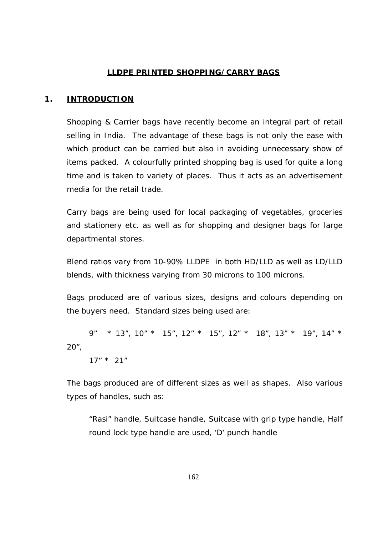#### **LLDPE PRINTED SHOPPING/CARRY BAGS**

#### **1. INTRODUCTION**

Shopping & Carrier bags have recently become an integral part of retail selling in India. The advantage of these bags is not only the ease with which product can be carried but also in avoiding unnecessary show of items packed. A colourfully printed shopping bag is used for quite a long time and is taken to variety of places. Thus it acts as an advertisement media for the retail trade.

Carry bags are being used for local packaging of vegetables, groceries and stationery etc. as well as for shopping and designer bags for large departmental stores.

Blend ratios vary from 10-90% LLDPE in both HD/LLD as well as LD/LLD blends, with thickness varying from 30 microns to 100 microns.

Bags produced are of various sizes, designs and colours depending on the buyers need. Standard sizes being used are:

 9" \* 13", 10" \* 15", 12" \* 15", 12" \* 18", 13" \* 19", 14" \* 20",

17" \* 21"

The bags produced are of different sizes as well as shapes. Also various types of handles, such as:

"Rasi" handle, Suitcase handle, Suitcase with grip type handle, Half round lock type handle are used, 'D' punch handle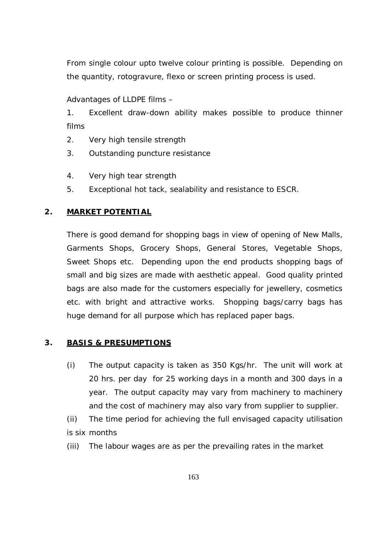From single colour upto twelve colour printing is possible. Depending on the quantity, rotogravure, flexo or screen printing process is used.

Advantages of LLDPE films –

1. Excellent draw-down ability makes possible to produce thinner films

- 2. Very high tensile strength
- 3. Outstanding puncture resistance
- 4. Very high tear strength
- 5. Exceptional hot tack, sealability and resistance to ESCR.

## **2. MARKET POTENTIAL**

There is good demand for shopping bags in view of opening of New Malls, Garments Shops, Grocery Shops, General Stores, Vegetable Shops, Sweet Shops etc. Depending upon the end products shopping bags of small and big sizes are made with aesthetic appeal. Good quality printed bags are also made for the customers especially for jewellery, cosmetics etc. with bright and attractive works. Shopping bags/carry bags has huge demand for all purpose which has replaced paper bags.

## **3. BASIS & PRESUMPTIONS**

- (i) The output capacity is taken as 350 Kgs/hr. The unit will work at 20 hrs. per day for 25 working days in a month and 300 days in a year. The output capacity may vary from machinery to machinery and the cost of machinery may also vary from supplier to supplier.
- (ii) The time period for achieving the full envisaged capacity utilisation is six months
- (iii) The labour wages are as per the prevailing rates in the market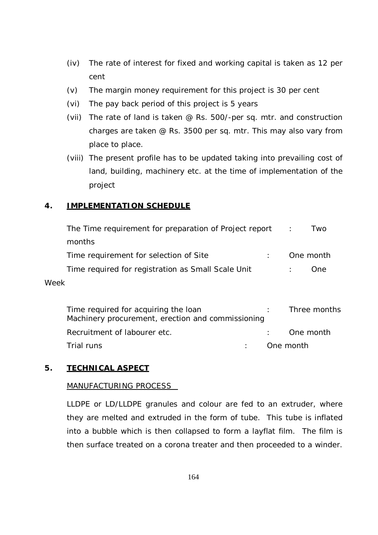- (iv) The rate of interest for fixed and working capital is taken as 12 per cent
- (v) The margin money requirement for this project is 30 per cent
- (vi) The pay back period of this project is 5 years
- (vii) The rate of land is taken @ Rs. 500/-per sq. mtr. and construction charges are taken @ Rs. 3500 per sq. mtr. This may also vary from place to place.
- (viii) The present profile has to be updated taking into prevailing cost of land, building, machinery etc. at the time of implementation of the project

## **4. IMPLEMENTATION SCHEDULE**

| The Time requirement for preparation of Project report                                    | Two<br>$\therefore$ |
|-------------------------------------------------------------------------------------------|---------------------|
| months                                                                                    |                     |
| Time requirement for selection of Site                                                    | One month           |
| Time required for registration as Small Scale Unit                                        | One                 |
| Week                                                                                      |                     |
| Time required for acquiring the loan<br>Machinery procurement, erection and commissioning | Three months        |
| Recruitment of labourer etc.                                                              | One month           |

Trial runs : One month

## **5. TECHNICAL ASPECT**

## MANUFACTURING PROCESS

LLDPE or LD/LLDPE granules and colour are fed to an extruder, where they are melted and extruded in the form of tube. This tube is inflated into a bubble which is then collapsed to form a layflat film. The film is then surface treated on a corona treater and then proceeded to a winder.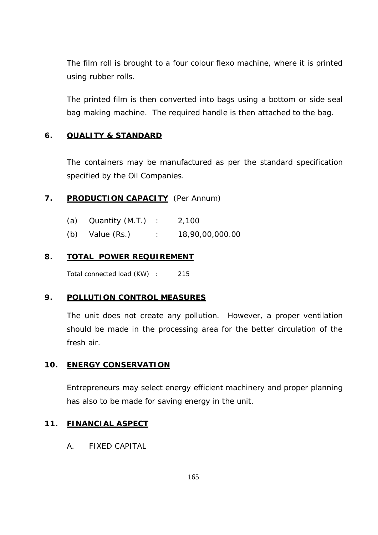The film roll is brought to a four colour flexo machine, where it is printed using rubber rolls.

The printed film is then converted into bags using a bottom or side seal bag making machine. The required handle is then attached to the bag.

## **6. QUALITY & STANDARD**

The containers may be manufactured as per the standard specification specified by the Oil Companies.

## **7. PRODUCTION CAPACITY** (Per Annum)

| (a) Quantity $(M.T.)$ : | 2,100           |
|-------------------------|-----------------|
| $(b)$ Value $(Rs.)$     | 18,90,00,000.00 |

## **8. TOTAL POWER REQUIREMENT**

Total connected load (KW) : 215

## **9. POLLUTION CONTROL MEASURES**

The unit does not create any pollution. However, a proper ventilation should be made in the processing area for the better circulation of the fresh air.

## **10. ENERGY CONSERVATION**

Entrepreneurs may select energy efficient machinery and proper planning has also to be made for saving energy in the unit.

#### **11. FINANCIAL ASPECT**

A. FIXED CAPITAL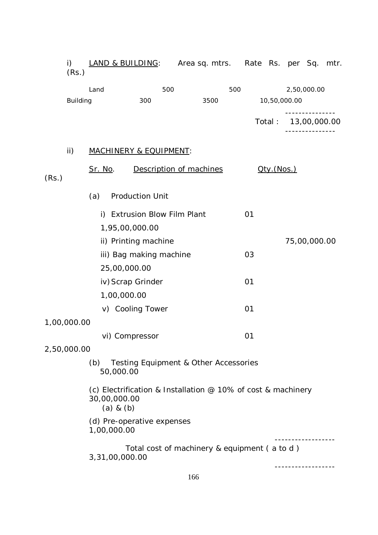|       | i)<br>(Rs.)                                            | <b>LAND &amp; BUILDING:</b> Area sq. mtrs. Rate Rs. per Sq. mtr.                              |                              |                         |     |  |                                              |     |    |                    |                     |               |  |
|-------|--------------------------------------------------------|-----------------------------------------------------------------------------------------------|------------------------------|-------------------------|-----|--|----------------------------------------------|-----|----|--------------------|---------------------|---------------|--|
|       |                                                        | Land                                                                                          |                              |                         | 500 |  |                                              | 500 |    |                    |                     | 2,50,000.00   |  |
|       | <b>Building</b>                                        |                                                                                               |                              | 300                     |     |  | 3500                                         |     |    |                    | 10,50,000.00        | ------------- |  |
|       |                                                        |                                                                                               |                              |                         |     |  |                                              |     |    |                    | Total: 13,00,000.00 |               |  |
|       | $\mathsf{ii}$ )                                        | <b>MACHINERY &amp; EQUIPMENT:</b>                                                             |                              |                         |     |  |                                              |     |    |                    |                     |               |  |
| (Rs.) |                                                        | <u>Sr. No</u> .                                                                               |                              | Description of machines |     |  |                                              |     |    | <u> Qty.(Nos.)</u> |                     |               |  |
|       |                                                        | (a)                                                                                           | <b>Production Unit</b>       |                         |     |  |                                              |     |    |                    |                     |               |  |
|       |                                                        |                                                                                               | i) Extrusion Blow Film Plant |                         |     |  |                                              |     | 01 |                    |                     |               |  |
|       |                                                        |                                                                                               | 1,95,00,000.00               |                         |     |  |                                              |     |    |                    |                     |               |  |
|       |                                                        |                                                                                               | ii) Printing machine         |                         |     |  |                                              |     |    |                    |                     | 75,00,000.00  |  |
|       |                                                        |                                                                                               | iii) Bag making machine      |                         |     |  |                                              |     | 03 |                    |                     |               |  |
|       |                                                        |                                                                                               | 25,00,000.00                 |                         |     |  |                                              |     |    |                    |                     |               |  |
|       |                                                        |                                                                                               | iv) Scrap Grinder            |                         |     |  |                                              |     | 01 |                    |                     |               |  |
|       |                                                        |                                                                                               | 1,00,000.00                  |                         |     |  |                                              |     |    |                    |                     |               |  |
|       |                                                        |                                                                                               | v) Cooling Tower             |                         |     |  |                                              |     | 01 |                    |                     |               |  |
|       | 1,00,000.00                                            |                                                                                               |                              |                         |     |  |                                              |     |    |                    |                     |               |  |
|       |                                                        |                                                                                               | vi) Compressor               |                         |     |  |                                              |     | 01 |                    |                     |               |  |
|       | 2,50,000.00                                            |                                                                                               |                              |                         |     |  |                                              |     |    |                    |                     |               |  |
|       | (b) Testing Equipment & Other Accessories<br>50,000.00 |                                                                                               |                              |                         |     |  |                                              |     |    |                    |                     |               |  |
|       |                                                        | (c) Electrification & Installation @ 10% of cost & machinery<br>30,00,000.00<br>$(a)$ & $(b)$ |                              |                         |     |  |                                              |     |    |                    |                     |               |  |
|       |                                                        | 1,00,000.00                                                                                   | (d) Pre-operative expenses   |                         |     |  |                                              |     |    |                    |                     |               |  |
|       |                                                        |                                                                                               | 3,31,00,000.00               |                         |     |  | Total cost of machinery & equipment (a to d) |     |    |                    |                     |               |  |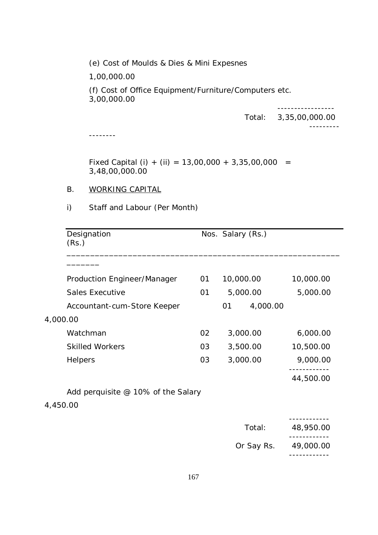(e) Cost of Moulds & Dies & Mini Expesnes

1,00,000.00

(f) Cost of Office Equipment/Furniture/Computers etc. 3,00,000.00

-----------------

---------

Total: 3,35,00,000.00

--------

Fixed Capital (i) + (ii) =  $13,00,000 + 3,35,00,000 =$ 3,48,00,000.00

#### B. WORKING CAPITAL

i) Staff and Labour (Per Month)

|          | Designation<br>(Rs.)               |    | Nos. Salary (Rs.) |            |           |
|----------|------------------------------------|----|-------------------|------------|-----------|
|          |                                    |    |                   |            |           |
|          | Production Engineer/Manager        | 01 | 10,000.00         |            | 10,000.00 |
|          | <b>Sales Executive</b>             | 01 | 5,000.00          |            | 5,000.00  |
|          | Accountant-cum-Store Keeper        |    | 01                | 4,000.00   |           |
| 4,000.00 |                                    |    |                   |            |           |
|          | Watchman                           | 02 | 3,000.00          |            | 6,000.00  |
|          | <b>Skilled Workers</b>             | 03 | 3,500.00          |            | 10,500.00 |
|          | Helpers                            | 03 | 3,000.00          |            | 9,000.00  |
|          |                                    |    |                   |            | 44,500.00 |
|          | Add perquisite @ 10% of the Salary |    |                   |            |           |
| 4,450.00 |                                    |    |                   |            |           |
|          |                                    |    |                   | Total:     | 48,950.00 |
|          |                                    |    |                   | Or Say Rs. | 49,000.00 |
|          |                                    |    |                   |            |           |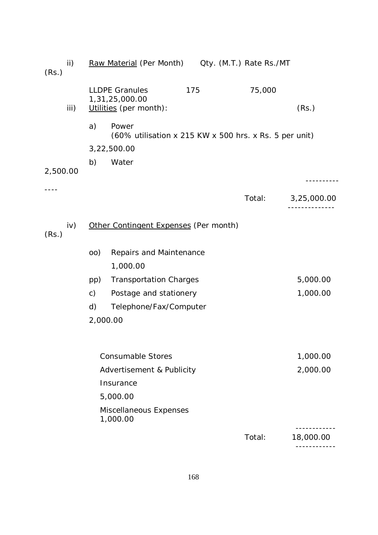| (Rs.)    | ii)  |               | Raw Material (Per Month) Oty. (M.T.) Rate Rs./MT                  |     |        |             |
|----------|------|---------------|-------------------------------------------------------------------|-----|--------|-------------|
|          | iii) |               | <b>LLDPE Granules</b><br>1,31,25,000.00<br>Utilities (per month): | 175 | 75,000 | (Rs.)       |
|          |      | a)            | Power<br>(60% utilisation x 215 KW x 500 hrs. x Rs. 5 per unit)   |     |        |             |
|          |      |               | 3,22,500.00                                                       |     |        |             |
| 2,500.00 |      | b)            | Water                                                             |     |        |             |
|          |      |               |                                                                   |     | Total: | 3,25,000.00 |
| (Rs.)    | iv)  |               | Other Contingent Expenses (Per month)                             |     |        |             |
|          |      | (00)          | Repairs and Maintenance<br>1,000.00                               |     |        |             |
|          |      | pp)           | <b>Transportation Charges</b>                                     |     |        | 5,000.00    |
|          |      | $\mathsf{c})$ | Postage and stationery                                            |     |        | 1,000.00    |
|          |      | d)            | Telephone/Fax/Computer                                            |     |        |             |
|          |      |               | 2,000.00                                                          |     |        |             |
|          |      |               | <b>Consumable Stores</b>                                          |     |        | 1,000.00    |
|          |      |               | Advertisement & Publicity                                         |     |        | 2,000.00    |
|          |      |               | Insurance                                                         |     |        |             |
|          |      |               | 5,000.00                                                          |     |        |             |
|          |      |               | Miscellaneous Expenses<br>1,000.00                                |     |        |             |
|          |      |               |                                                                   |     | Total: | 18,000.00   |
|          |      |               |                                                                   |     |        |             |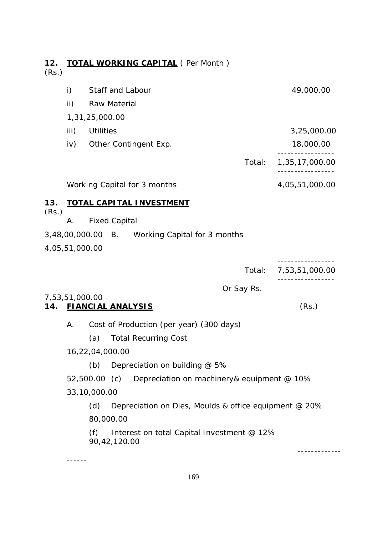| 12.<br>(Rs.) |                | <b>TOTAL WORKING CAPITAL (Per Month)</b> |        |                |
|--------------|----------------|------------------------------------------|--------|----------------|
|              | i)             | Staff and Labour                         |        | 49,000.00      |
|              | ii)            | Raw Material                             |        |                |
|              | 1,31,25,000.00 |                                          |        |                |
|              | iii)           | <b>Utilities</b>                         |        | 3,25,000.00    |
|              | iv)            | Other Contingent Exp.                    |        | 18,000.00      |
|              |                |                                          | Total: | 1,35,17,000.00 |
|              |                | Working Capital for 3 months             |        | 4,05,51,000.00 |
| 13.<br>(Rs.) |                | <b>TOTAL CAPITAL INVESTMENT</b>          |        |                |
|              | Α.             | <b>Fixed Capital</b>                     |        |                |

- 3,48,00,000.00 B. Working Capital for 3 months
- 4,05,51,000.00

| Total: | 7,53,51,000.00 |
|--------|----------------|

Or Say Rs.

# 7,53,51,000.00

## **14. FIANCIAL ANALYSIS** (Rs.)

A. Cost of Production (per year) (300 days)

- (a) Total Recurring Cost
- 16,22,04,000.00

(b) Depreciation on building @ 5%

52,500.00 (c) Depreciation on machinery& equipment @ 10% 33,10,000.00

(d) Depreciation on Dies, Moulds & office equipment @ 20% 80,000.00

(f) Interest on total Capital Investment @ 12% 90,42,120.00

------

-------------

-----------------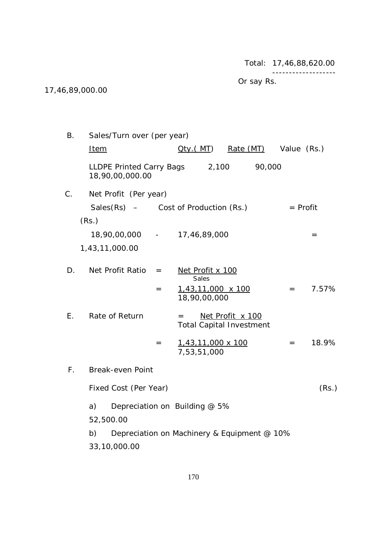Total: 17,46,88,620.00

-------------------

Or say Rs.

## 17,46,89,000.00

| Β.          | Sales/Turn over (per year)                        |     |                                          |                                                     |            |                                     |
|-------------|---------------------------------------------------|-----|------------------------------------------|-----------------------------------------------------|------------|-------------------------------------|
|             | <b>Item</b>                                       |     |                                          | Oty.(MT) Rate (MT) Value (Rs.)                      |            |                                     |
|             | LLDPE Printed Carry Bags 2,100<br>18,90,00,000.00 |     |                                          | 90,000                                              |            |                                     |
| C.          | Net Profit (Per year)                             |     |                                          |                                                     |            |                                     |
|             | $Sales(Rs)$ – Cost of Production $(Rs.)$          |     |                                          |                                                     | $=$ Profit |                                     |
|             | (Rs.)                                             |     |                                          |                                                     |            |                                     |
|             | 18,90,00,000 -                                    |     | 17,46,89,000                             |                                                     |            | $\hspace*{0.2cm} = \hspace*{0.2cm}$ |
|             | 1,43,11,000.00                                    |     |                                          |                                                     |            |                                     |
| D.          | Net Profit Ratio                                  | $=$ | Net Profit x 100<br>Sales                |                                                     |            |                                     |
|             |                                                   | $=$ | $1,43,11,000 \times 100$<br>18,90,00,000 |                                                     | $=$ $-$    | 7.57%                               |
| E.          | Rate of Return                                    |     | $=$                                      | Net Profit x 100<br><b>Total Capital Investment</b> |            |                                     |
|             |                                                   | $=$ | 1,43,11,000 x 100<br>7,53,51,000         |                                                     | $=$        | 18.9%                               |
| $F_{\perp}$ | <b>Break-even Point</b>                           |     |                                          |                                                     |            |                                     |
|             | Fixed Cost (Per Year)                             |     |                                          |                                                     |            | (Rs.)                               |
|             | a)                                                |     | Depreciation on Building @ 5%            |                                                     |            |                                     |
|             | 52,500.00                                         |     |                                          |                                                     |            |                                     |
|             | b)                                                |     |                                          | Depreciation on Machinery & Equipment @ 10%         |            |                                     |

33,10,000.00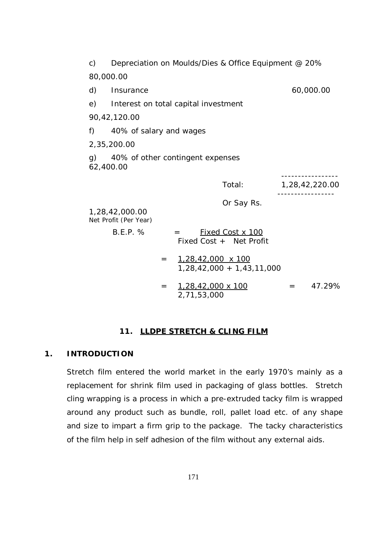| $\mathsf{c})$   |                                                            |     |             | Depreciation on Moulds/Dies & Office Equipment @ 20%             |         |                |
|-----------------|------------------------------------------------------------|-----|-------------|------------------------------------------------------------------|---------|----------------|
| 80,000.00       |                                                            |     |             |                                                                  |         |                |
| d)              | Insurance                                                  |     |             |                                                                  |         | 60,000.00      |
| e)              | Interest on total capital investment                       |     |             |                                                                  |         |                |
|                 | 90, 42, 120.00                                             |     |             |                                                                  |         |                |
| f)              | 40% of salary and wages                                    |     |             |                                                                  |         |                |
|                 | 2,35,200.00                                                |     |             |                                                                  |         |                |
| g)<br>62,400.00 | 40% of other contingent expenses                           |     |             |                                                                  |         |                |
|                 |                                                            |     |             | Total:                                                           |         | 1,28,42,220.00 |
|                 | 1,28,42,000.00<br>Net Profit (Per Year)<br><b>B.E.P. %</b> |     | $=$         | Or Say Rs.<br><b>Fixed Cost x 100</b><br>Fixed Cost + Net Profit |         |                |
|                 |                                                            | $=$ |             | 1,28,42,000 x 100<br>$1,28,42,000 + 1,43,11,000$                 |         |                |
|                 |                                                            | $=$ | 2,71,53,000 | <u>1,28,42,000 x 100</u>                                         | $=$ $-$ | 47.29%         |

#### **11. LLDPE STRETCH & CLING FILM**

#### **1. INTRODUCTION**

Stretch film entered the world market in the early 1970's mainly as a replacement for shrink film used in packaging of glass bottles. Stretch cling wrapping is a process in which a pre-extruded tacky film is wrapped around any product such as bundle, roll, pallet load etc. of any shape and size to impart a firm grip to the package. The tacky characteristics of the film help in self adhesion of the film without any external aids.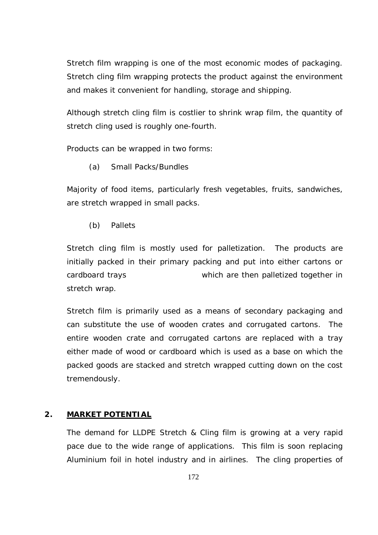Stretch film wrapping is one of the most economic modes of packaging. Stretch cling film wrapping protects the product against the environment and makes it convenient for handling, storage and shipping.

Although stretch cling film is costlier to shrink wrap film, the quantity of stretch cling used is roughly one-fourth.

Products can be wrapped in two forms:

(a) Small Packs/Bundles

Majority of food items, particularly fresh vegetables, fruits, sandwiches, are stretch wrapped in small packs.

(b) Pallets

Stretch cling film is mostly used for palletization. The products are initially packed in their primary packing and put into either cartons or cardboard trays which are then palletized together in stretch wrap.

Stretch film is primarily used as a means of secondary packaging and can substitute the use of wooden crates and corrugated cartons. The entire wooden crate and corrugated cartons are replaced with a tray either made of wood or cardboard which is used as a base on which the packed goods are stacked and stretch wrapped cutting down on the cost tremendously.

#### **2. MARKET POTENTIAL**

The demand for LLDPE Stretch & Cling film is growing at a very rapid pace due to the wide range of applications. This film is soon replacing Aluminium foil in hotel industry and in airlines. The cling properties of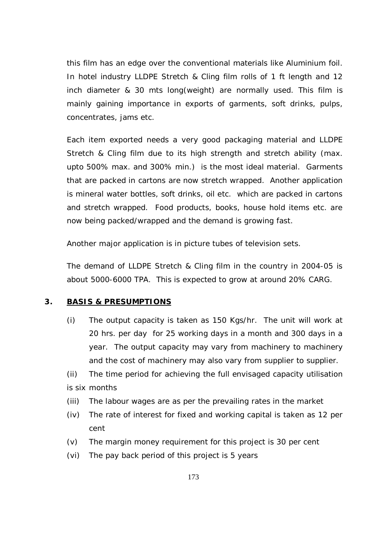this film has an edge over the conventional materials like Aluminium foil. In hotel industry LLDPE Stretch & Cling film rolls of 1 ft length and 12 inch diameter & 30 mts long(weight) are normally used. This film is mainly gaining importance in exports of garments, soft drinks, pulps, concentrates, jams etc.

Each item exported needs a very good packaging material and LLDPE Stretch & Cling film due to its high strength and stretch ability (max. upto 500% max. and 300% min.) is the most ideal material. Garments that are packed in cartons are now stretch wrapped. Another application is mineral water bottles, soft drinks, oil etc. which are packed in cartons and stretch wrapped. Food products, books, house hold items etc. are now being packed/wrapped and the demand is growing fast.

Another major application is in picture tubes of television sets.

The demand of LLDPE Stretch & Cling film in the country in 2004-05 is about 5000-6000 TPA. This is expected to grow at around 20% CARG.

## **3. BASIS & PRESUMPTIONS**

(i) The output capacity is taken as 150 Kgs/hr. The unit will work at 20 hrs. per day for 25 working days in a month and 300 days in a year. The output capacity may vary from machinery to machinery and the cost of machinery may also vary from supplier to supplier.

(ii) The time period for achieving the full envisaged capacity utilisation is six months

- (iii) The labour wages are as per the prevailing rates in the market
- (iv) The rate of interest for fixed and working capital is taken as 12 per cent
- (v) The margin money requirement for this project is 30 per cent
- (vi) The pay back period of this project is 5 years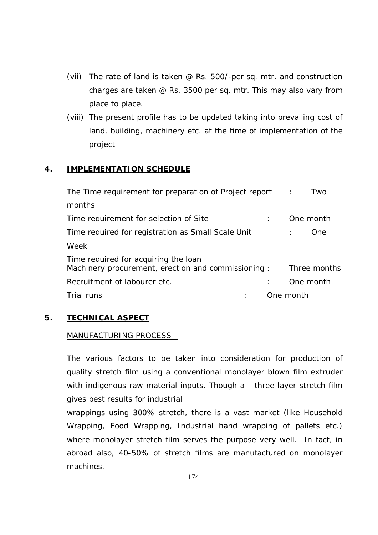- (vii) The rate of land is taken @ Rs. 500/-per sq. mtr. and construction charges are taken @ Rs. 3500 per sq. mtr. This may also vary from place to place.
- (viii) The present profile has to be updated taking into prevailing cost of land, building, machinery etc. at the time of implementation of the project

## **4. IMPLEMENTATION SCHEDULE**

| The Time requirement for preparation of Project report                                     | $\sim 100$ |           | Two          |
|--------------------------------------------------------------------------------------------|------------|-----------|--------------|
| months                                                                                     |            |           |              |
| Time requirement for selection of Site                                                     |            |           | One month    |
| Time required for registration as Small Scale Unit                                         |            |           | One.         |
| Week                                                                                       |            |           |              |
| Time required for acquiring the loan<br>Machinery procurement, erection and commissioning: |            |           | Three months |
| Recruitment of labourer etc.                                                               |            |           | One month    |
| Trial runs                                                                                 |            | One month |              |

## **5. TECHNICAL ASPECT**

## MANUFACTURING PROCESS

The various factors to be taken into consideration for production of quality stretch film using a conventional monolayer blown film extruder with indigenous raw material inputs. Though a three layer stretch film gives best results for industrial

wrappings using 300% stretch, there is a vast market (like Household Wrapping, Food Wrapping, Industrial hand wrapping of pallets etc.) where monolayer stretch film serves the purpose very well. In fact, in abroad also, 40-50% of stretch films are manufactured on monolayer machines.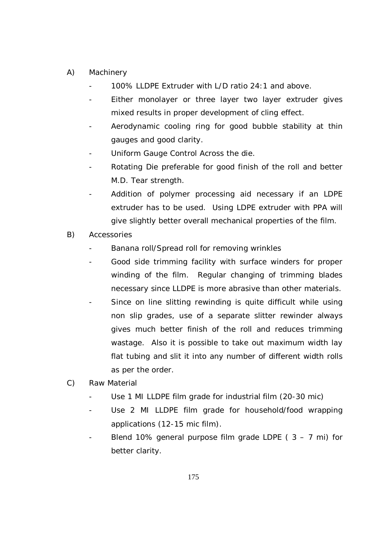- A) Machinery
	- 100% LLDPE Extruder with L/D ratio 24:1 and above.
	- Either monolayer or three layer two layer extruder gives mixed results in proper development of cling effect.
	- Aerodynamic cooling ring for good bubble stability at thin gauges and good clarity.
	- Uniform Gauge Control Across the die.
	- Rotating Die preferable for good finish of the roll and better M.D. Tear strength.
	- Addition of polymer processing aid necessary if an LDPE extruder has to be used. Using LDPE extruder with PPA will give slightly better overall mechanical properties of the film.
- B) Accessories
	- Banana roll/Spread roll for removing wrinkles
	- Good side trimming facility with surface winders for proper winding of the film. Regular changing of trimming blades necessary since LLDPE is more abrasive than other materials.
	- Since on line slitting rewinding is quite difficult while using non slip grades, use of a separate slitter rewinder always gives much better finish of the roll and reduces trimming wastage. Also it is possible to take out maximum width lay flat tubing and slit it into any number of different width rolls as per the order.
- C) Raw Material
	- Use 1 MI LLDPE film grade for industrial film (20-30 mic)
	- Use 2 MI LLDPE film grade for household/food wrapping applications (12-15 mic film).
	- Blend 10% general purpose film grade LDPE ( $3 7$  mi) for better clarity.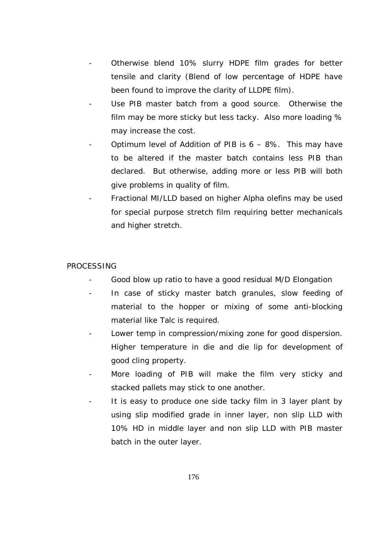- Otherwise blend 10% slurry HDPE film grades for better tensile and clarity (Blend of low percentage of HDPE have been found to improve the clarity of LLDPE film).
- Use PIB master batch from a good source. Otherwise the film may be more sticky but less tacky. Also more loading % may increase the cost.
- Optimum level of Addition of PIB is  $6 8\%$ . This may have to be altered if the master batch contains less PIB than declared. But otherwise, adding more or less PIB will both give problems in quality of film.
- Fractional MI/LLD based on higher Alpha olefins may be used for special purpose stretch film requiring better mechanicals and higher stretch.

## PROCESSING

- Good blow up ratio to have a good residual M/D Elongation
- In case of sticky master batch granules, slow feeding of material to the hopper or mixing of some anti-blocking material like Talc is required.
- Lower temp in compression/mixing zone for good dispersion. Higher temperature in die and die lip for development of good cling property.
- More loading of PIB will make the film very sticky and stacked pallets may stick to one another.
- It is easy to produce one side tacky film in 3 layer plant by using slip modified grade in inner layer, non slip LLD with 10% HD in middle layer and non slip LLD with PIB master batch in the outer layer.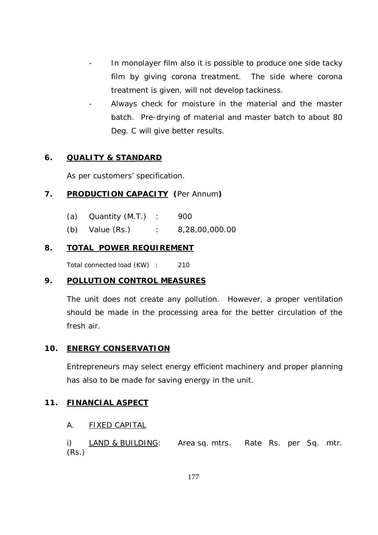- In monolayer film also it is possible to produce one side tacky film by giving corona treatment. The side where corona treatment is given, will not develop tackiness.
- Always check for moisture in the material and the master batch. Pre-drying of material and master batch to about 80 Deg. C will give better results.

## **6. QUALITY & STANDARD**

As per customers' specification.

## **7. PRODUCTION CAPACITY (**Per Annum**)**

| (a) | Quantity (M.T.) |  | 900 |  |
|-----|-----------------|--|-----|--|
|-----|-----------------|--|-----|--|

(b) Value (Rs.) : 8,28,00,000.00

## **8. TOTAL POWER REQUIREMENT**

Total connected load (KW) : 210

## **9. POLLUTION CONTROL MEASURES**

The unit does not create any pollution. However, a proper ventilation should be made in the processing area for the better circulation of the fresh air.

## **10. ENERGY CONSERVATION**

Entrepreneurs may select energy efficient machinery and proper planning has also to be made for saving energy in the unit.

## **11. FINANCIAL ASPECT**

## A. FIXED CAPITAL

i) LAND & BUILDING: Area sq. mtrs. Rate Rs. per Sq. mtr. (Rs.)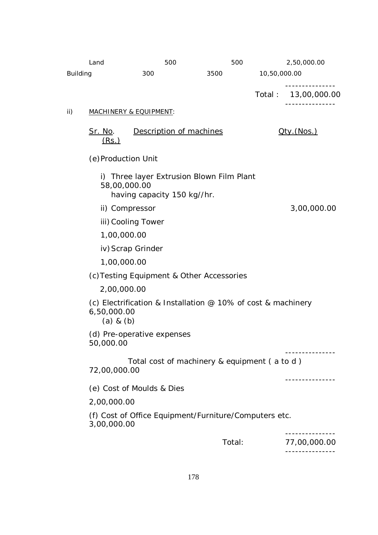|                 | Land                                                                                           | 500                                                                                      | 500    |              | 2,50,000.00         |  |  |  |  |  |  |
|-----------------|------------------------------------------------------------------------------------------------|------------------------------------------------------------------------------------------|--------|--------------|---------------------|--|--|--|--|--|--|
| <b>Building</b> |                                                                                                | 300                                                                                      | 3500   | 10,50,000.00 |                     |  |  |  |  |  |  |
|                 |                                                                                                |                                                                                          |        | Total:       | 13,00,000.00        |  |  |  |  |  |  |
| ii)             |                                                                                                | <b>MACHINERY &amp; EQUIPMENT:</b>                                                        |        |              |                     |  |  |  |  |  |  |
|                 | <u>Sr. No</u> .<br><u>(Rs.)</u>                                                                | Description of machines                                                                  |        |              | <u> Qty. (Nos.)</u> |  |  |  |  |  |  |
|                 | (e) Production Unit                                                                            |                                                                                          |        |              |                     |  |  |  |  |  |  |
|                 |                                                                                                | i) Three layer Extrusion Blown Film Plant<br>58,00,000.00<br>having capacity 150 kg//hr. |        |              |                     |  |  |  |  |  |  |
|                 | ii) Compressor                                                                                 |                                                                                          |        |              | 3,00,000.00         |  |  |  |  |  |  |
|                 |                                                                                                | iii) Cooling Tower                                                                       |        |              |                     |  |  |  |  |  |  |
|                 | 1,00,000.00                                                                                    |                                                                                          |        |              |                     |  |  |  |  |  |  |
|                 | iv) Scrap Grinder                                                                              |                                                                                          |        |              |                     |  |  |  |  |  |  |
|                 | 1,00,000.00                                                                                    |                                                                                          |        |              |                     |  |  |  |  |  |  |
|                 | (c) Testing Equipment & Other Accessories                                                      |                                                                                          |        |              |                     |  |  |  |  |  |  |
|                 | 2,00,000.00                                                                                    |                                                                                          |        |              |                     |  |  |  |  |  |  |
|                 | (c) Electrification & Installation $@$ 10% of cost & machinery<br>6,50,000.00<br>$(a)$ & $(b)$ |                                                                                          |        |              |                     |  |  |  |  |  |  |
|                 | (d) Pre-operative expenses<br>50,000.00                                                        |                                                                                          |        |              |                     |  |  |  |  |  |  |
|                 | Total cost of machinery & equipment (a to d)<br>72,00,000.00                                   |                                                                                          |        |              |                     |  |  |  |  |  |  |
|                 | (e) Cost of Moulds & Dies                                                                      |                                                                                          |        |              |                     |  |  |  |  |  |  |
|                 | 2,00,000.00                                                                                    |                                                                                          |        |              |                     |  |  |  |  |  |  |
|                 | (f) Cost of Office Equipment/Furniture/Computers etc.<br>3,00,000.00                           |                                                                                          |        |              |                     |  |  |  |  |  |  |
|                 |                                                                                                |                                                                                          | Total: |              | 77,00,000.00        |  |  |  |  |  |  |
|                 |                                                                                                |                                                                                          |        |              |                     |  |  |  |  |  |  |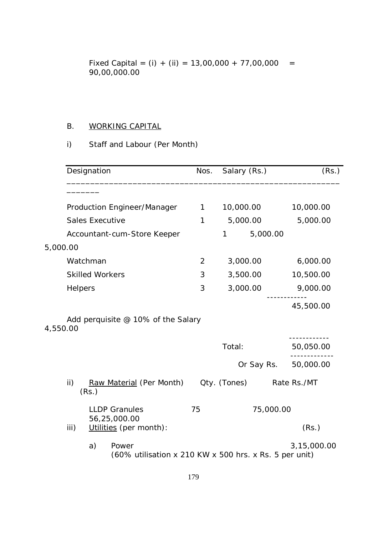Fixed Capital =  $(i) + (ii) = 13,00,000 + 77,00,000 =$ 90,00,000.00

## B. WORKING CAPITAL

## i) Staff and Labour (Per Month)

|          | Designation                                                              | Nos.         | Salary (Rs.)             | (Rs.)       |
|----------|--------------------------------------------------------------------------|--------------|--------------------------|-------------|
|          |                                                                          |              |                          |             |
|          | Production Engineer/Manager                                              | $\mathbf{1}$ | 10,000.00                | 10,000.00   |
|          | <b>Sales Executive</b>                                                   | 1            | 5,000.00                 | 5,000.00    |
|          | Accountant-cum-Store Keeper                                              |              | 5,000.00<br>1            |             |
| 5,000.00 |                                                                          |              |                          |             |
|          | Watchman                                                                 | 2            | 3,000.00                 | 6,000.00    |
|          | <b>Skilled Workers</b>                                                   | 3            | 3,500.00                 | 10,500.00   |
| Helpers  |                                                                          | 3            | 3,000.00                 | 9,000.00    |
|          |                                                                          |              |                          | 45,500.00   |
| 4,550.00 | Add perquisite @ 10% of the Salary                                       |              |                          |             |
|          |                                                                          |              | Total:                   | 50,050.00   |
|          |                                                                          |              | Or Say Rs.               | 50,000.00   |
| ii)      | Raw Material (Per Month)<br>(Rs.)                                        |              | Qty. (Tones) Rate Rs./MT |             |
|          | <b>LLDP Granules</b><br>56,25,000.00                                     |              |                          | 75,000.00   |
| iii)     | Utilities (per month):                                                   |              |                          | (Rs.)       |
|          | a)<br>Power<br>$(60\%$ utilisation x 210 KW x 500 hrs. x Rs. 5 per unit) |              |                          | 3,15,000.00 |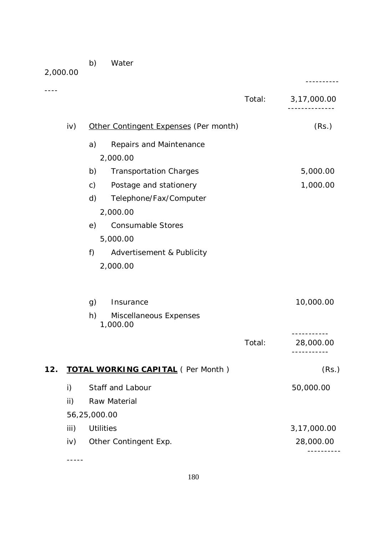b) Water

-----

| 2,000.00 | D)            | <i>vvater</i>                            |        |             |
|----------|---------------|------------------------------------------|--------|-------------|
|          |               |                                          | Total: | 3,17,000.00 |
|          | iv)           | Other Contingent Expenses (Per month)    |        | (Rs.)       |
|          | a)            | Repairs and Maintenance                  |        |             |
|          |               | 2,000.00                                 |        |             |
|          | b)            | <b>Transportation Charges</b>            |        | 5,000.00    |
|          | $\mathsf{c})$ | Postage and stationery                   |        | 1,000.00    |
|          | d)            | Telephone/Fax/Computer                   |        |             |
|          |               | 2,000.00                                 |        |             |
|          | e)            | <b>Consumable Stores</b>                 |        |             |
|          |               | 5,000.00                                 |        |             |
|          | f)            | Advertisement & Publicity                |        |             |
|          |               | 2,000.00                                 |        |             |
|          | g)            | Insurance                                |        | 10,000.00   |
|          | h)            | Miscellaneous Expenses<br>1,000.00       |        |             |
|          |               |                                          | Total: | 28,000.00   |
| 12.      |               | <b>TOTAL WORKING CAPITAL (Per Month)</b> |        | (Rs.)       |
| i)       |               | Staff and Labour                         |        | 50,000.00   |
| ii)      |               | Raw Material                             |        |             |
|          | 56,25,000.00  |                                          |        |             |
|          | iii)          | <b>Utilities</b>                         |        | 3,17,000.00 |

iv) Other Contingent Exp. 28,000.00 ----------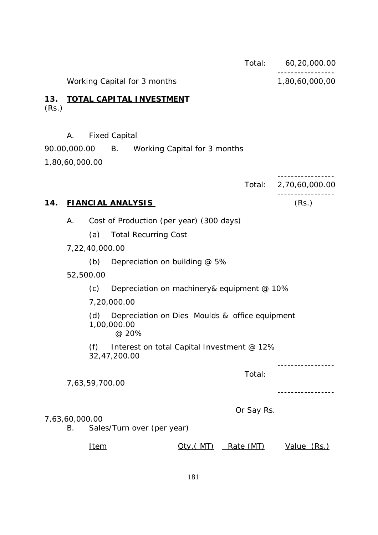|              |                      |                |                                                                        |                   | Total:     | 60,20,000.00   |
|--------------|----------------------|----------------|------------------------------------------------------------------------|-------------------|------------|----------------|
|              |                      |                | Working Capital for 3 months                                           |                   |            | 1,80,60,000,00 |
| 13.<br>(Rs.) |                      |                | <b>TOTAL CAPITAL INVESTMENT</b>                                        |                   |            |                |
|              | А.                   |                | <b>Fixed Capital</b>                                                   |                   |            |                |
|              |                      |                | 90.00,000.00 B. Working Capital for 3 months                           |                   |            |                |
|              | 1,80,60,000.00       |                |                                                                        |                   |            |                |
|              |                      |                |                                                                        |                   | Total:     | 2,70,60,000.00 |
| 14.          |                      |                | <b>FIANCIAL ANALYSIS</b>                                               |                   |            | (Rs.)          |
|              | Α.                   |                | Cost of Production (per year) (300 days)                               |                   |            |                |
|              |                      | (a)            | <b>Total Recurring Cost</b>                                            |                   |            |                |
|              |                      | 7,22,40,000.00 |                                                                        |                   |            |                |
|              |                      | (b)            | Depreciation on building @ 5%                                          |                   |            |                |
|              | 52,500.00            |                |                                                                        |                   |            |                |
|              |                      | (c)            | Depreciation on machinery & equipment @ 10%                            |                   |            |                |
|              |                      |                | 7,20,000.00                                                            |                   |            |                |
|              |                      | (d)            | Depreciation on Dies Moulds & office equipment<br>1,00,000.00<br>@ 20% |                   |            |                |
|              |                      | (f)            | Interest on total Capital Investment @ 12%<br>32,47,200.00             |                   |            |                |
|              |                      | 7,63,59,700.00 |                                                                        |                   | Total:     |                |
|              | 7,63,60,000.00<br>В. |                | Sales/Turn over (per year)                                             |                   | Or Say Rs. |                |
|              |                      | <u>Item</u>    |                                                                        | <u> Qty.( MT)</u> | Rate (MT)  | Value (Rs.)    |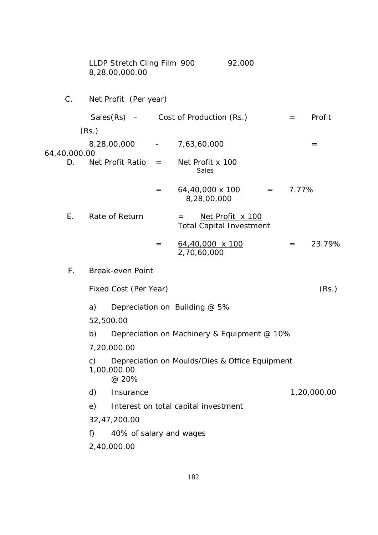|              | 8,28,00,000.00 |                                                                        | LLDP Stretch Cling Film 900 |         |     |                                           | 92,000                                              |                                             |       |             |
|--------------|----------------|------------------------------------------------------------------------|-----------------------------|---------|-----|-------------------------------------------|-----------------------------------------------------|---------------------------------------------|-------|-------------|
| $C$ .        |                |                                                                        | Net Profit (Per year)       |         |     |                                           |                                                     |                                             |       |             |
|              |                |                                                                        |                             |         |     | Sales $(Rs)$ – Cost of Production $(Rs.)$ |                                                     |                                             | $=$   | Profit      |
|              | (Rs.)          |                                                                        |                             |         |     |                                           |                                                     |                                             |       |             |
| 64,40,000.00 |                |                                                                        |                             |         |     | 8,28,00,000 - 7,63,60,000                 |                                                     |                                             |       | $=$         |
| D.           |                |                                                                        | Net Profit Ratio            | $=$ $-$ |     | Net Profit x 100<br>Sales                 |                                                     |                                             |       |             |
|              |                |                                                                        |                             | $=$     |     | <u>64,40,000 x 100</u><br>8,28,00,000     |                                                     | $\mathbf{r} = \mathbf{r} \mathbf{r}$        | 7.77% |             |
| E.           | Rate of Return |                                                                        |                             |         | $=$ |                                           | Net Profit x 100<br><b>Total Capital Investment</b> |                                             |       |             |
|              |                |                                                                        |                             | $=$     |     | 64,40,000 x 100<br>2,70,60,000            |                                                     |                                             | $=$   | 23.79%      |
| $F_{\perp}$  |                |                                                                        | <b>Break-even Point</b>     |         |     |                                           |                                                     |                                             |       |             |
|              |                |                                                                        | Fixed Cost (Per Year)       |         |     |                                           |                                                     |                                             |       | (Rs.)       |
|              | a)             |                                                                        |                             |         |     | Depreciation on Building @ 5%             |                                                     |                                             |       |             |
|              | 52,500.00      |                                                                        |                             |         |     |                                           |                                                     |                                             |       |             |
|              | b)             |                                                                        |                             |         |     |                                           |                                                     | Depreciation on Machinery & Equipment @ 10% |       |             |
|              |                | 7,20,000.00                                                            |                             |         |     |                                           |                                                     |                                             |       |             |
|              | $\mathsf{C}$   | Depreciation on Moulds/Dies & Office Equipment<br>1,00,000.00<br>@ 20% |                             |         |     |                                           |                                                     |                                             |       |             |
|              | d)             | Insurance                                                              |                             |         |     |                                           |                                                     |                                             |       | 1,20,000.00 |
|              | e)             |                                                                        |                             |         |     | Interest on total capital investment      |                                                     |                                             |       |             |
|              | 32,47,200.00   |                                                                        |                             |         |     |                                           |                                                     |                                             |       |             |
|              | f)             |                                                                        | 40% of salary and wages     |         |     |                                           |                                                     |                                             |       |             |
|              | 2,40,000.00    |                                                                        |                             |         |     |                                           |                                                     |                                             |       |             |
|              |                |                                                                        |                             |         |     |                                           |                                                     |                                             |       |             |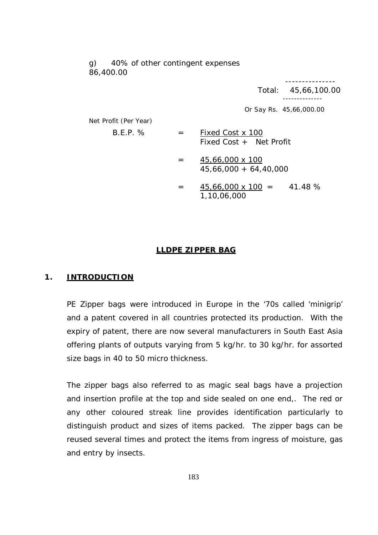g) 40% of other contingent expenses 86,400.00

> --------------- Total: 45,66,100.00 --------------

Or Say Rs. 45,66,000.00

Net Profit (Per Year)

- $B.E.P. % = Fixed Cost x 100$ Fixed Cost + Net Profit
	- $= 45,66,000 \times 100$ 45,66,000 + 64,40,000
	- $= 45,66,000 \times 100 = 41.48 \%$ 1,10,06,000

#### **LLDPE ZIPPER BAG**

#### **1. INTRODUCTION**

PE Zipper bags were introduced in Europe in the '70s called 'minigrip' and a patent covered in all countries protected its production. With the expiry of patent, there are now several manufacturers in South East Asia offering plants of outputs varying from 5 kg/hr. to 30 kg/hr. for assorted size bags in 40 to 50 micro thickness.

The zipper bags also referred to as magic seal bags have a projection and insertion profile at the top and side sealed on one end,. The red or any other coloured streak line provides identification particularly to distinguish product and sizes of items packed. The zipper bags can be reused several times and protect the items from ingress of moisture, gas and entry by insects.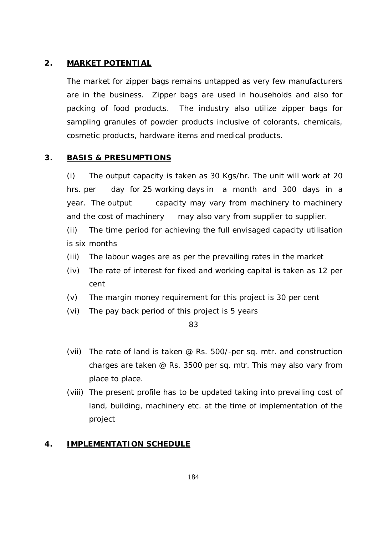#### **2. MARKET POTENTIAL**

The market for zipper bags remains untapped as very few manufacturers are in the business. Zipper bags are used in households and also for packing of food products. The industry also utilize zipper bags for sampling granules of powder products inclusive of colorants, chemicals, cosmetic products, hardware items and medical products.

#### **3. BASIS & PRESUMPTIONS**

(i) The output capacity is taken as 30 Kgs/hr. The unit will work at 20 hrs. per day for 25 working days in a month and 300 days in a year. The output capacity may vary from machinery to machinery and the cost of machinery may also vary from supplier to supplier.

(ii) The time period for achieving the full envisaged capacity utilisation is six months

- (iii) The labour wages are as per the prevailing rates in the market
- (iv) The rate of interest for fixed and working capital is taken as 12 per cent
- (v) The margin money requirement for this project is 30 per cent
- (vi) The pay back period of this project is 5 years

83

- (vii) The rate of land is taken @ Rs. 500/-per sq. mtr. and construction charges are taken @ Rs. 3500 per sq. mtr. This may also vary from place to place.
- (viii) The present profile has to be updated taking into prevailing cost of land, building, machinery etc. at the time of implementation of the project

#### **4. IMPLEMENTATION SCHEDULE**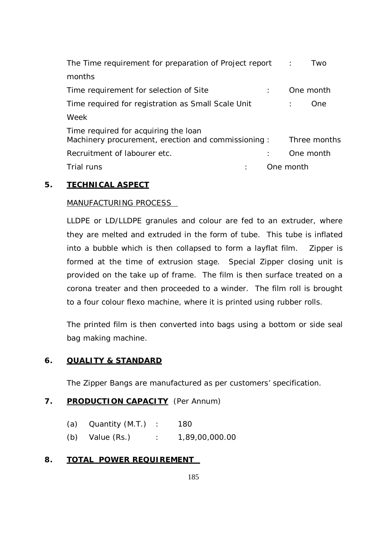| The Time requirement for preparation of Project report                                     | Two<br>$\sim$ 1. |
|--------------------------------------------------------------------------------------------|------------------|
| months                                                                                     |                  |
| Time requirement for selection of Site                                                     | One month        |
| Time required for registration as Small Scale Unit                                         | One              |
| Week                                                                                       |                  |
| Time required for acquiring the loan<br>Machinery procurement, erection and commissioning: | Three months     |
| Recruitment of labourer etc.                                                               | One month        |
| Trial runs                                                                                 | One month        |

## **5. TECHNICAL ASPECT**

## MANUFACTURING PROCESS

LLDPE or LD/LLDPE granules and colour are fed to an extruder, where they are melted and extruded in the form of tube. This tube is inflated into a bubble which is then collapsed to form a layflat film. Zipper is formed at the time of extrusion stage. Special Zipper closing unit is provided on the take up of frame. The film is then surface treated on a corona treater and then proceeded to a winder. The film roll is brought to a four colour flexo machine, where it is printed using rubber rolls.

The printed film is then converted into bags using a bottom or side seal bag making machine.

## **6. QUALITY & STANDARD**

The Zipper Bangs are manufactured as per customers' specification.

## **7. PRODUCTION CAPACITY** (Per Annum)

- (a) Quantity (M.T.) : 180
- (b) Value (Rs.) : 1,89,00,000.00

## **8. TOTAL POWER REQUIREMENT**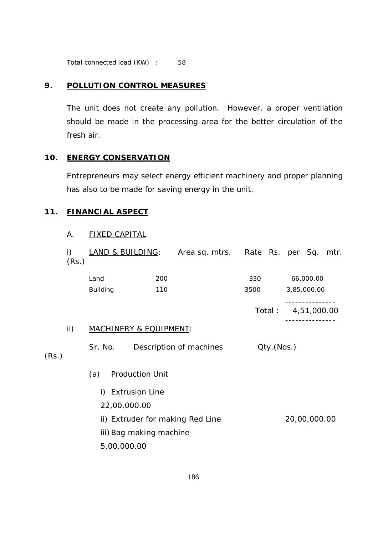Total connected load (KW) : 58

#### **9. POLLUTION CONTROL MEASURES**

The unit does not create any pollution. However, a proper ventilation should be made in the processing area for the better circulation of the fresh air.

## **10. ENERGY CONSERVATION**

Entrepreneurs may select energy efficient machinery and proper planning has also to be made for saving energy in the unit.

#### **11. FINANCIAL ASPECT**

#### A. FIXED CAPITAL

|       | i)<br>(Rs.) | LAND & BUILDING:                  |                         | Area sq. mtrs.                   | Rate Rs. per Sq. mtr. |        |             |              |  |
|-------|-------------|-----------------------------------|-------------------------|----------------------------------|-----------------------|--------|-------------|--------------|--|
|       |             | Land                              | 200                     |                                  | 330                   |        |             | 66,000.00    |  |
|       |             | <b>Building</b>                   | 110                     |                                  | 3500                  |        |             | 3,85,000.00  |  |
|       |             |                                   |                         |                                  |                       | Total: | 4,51,000.00 |              |  |
|       | ii)         | <b>MACHINERY &amp; EQUIPMENT:</b> |                         |                                  |                       |        |             |              |  |
| (Rs.) |             | Sr. No.                           |                         | Description of machines          | Qty.(Nos.)            |        |             |              |  |
|       |             | (a)                               | <b>Production Unit</b>  |                                  |                       |        |             |              |  |
|       |             | i)                                | <b>Extrusion Line</b>   |                                  |                       |        |             |              |  |
|       |             | 22,00,000.00                      |                         |                                  |                       |        |             |              |  |
|       |             |                                   |                         | ii) Extruder for making Red Line |                       |        |             | 20,00,000.00 |  |
|       |             |                                   | iii) Bag making machine |                                  |                       |        |             |              |  |
|       |             | 5,00,000.00                       |                         |                                  |                       |        |             |              |  |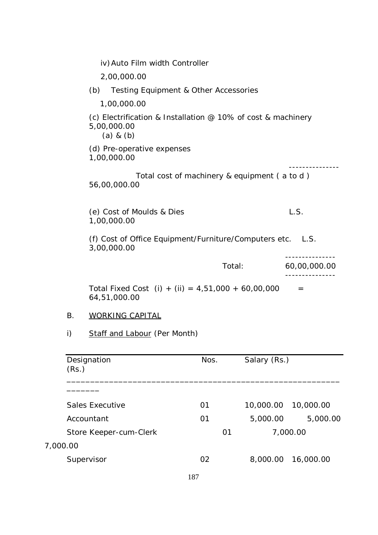| iv) Auto Film width Controller                                                                           |              |
|----------------------------------------------------------------------------------------------------------|--------------|
| 2,00,000.00                                                                                              |              |
| (b)<br>Testing Equipment & Other Accessories                                                             |              |
| 1,00,000.00                                                                                              |              |
| (c) Electrification & Installation $\varnothing$ 10% of cost & machinery<br>5,00,000.00<br>$(a)$ & $(b)$ |              |
| (d) Pre-operative expenses<br>1,00,000.00                                                                |              |
| Total cost of machinery & equipment (a to d)<br>56,00,000.00                                             |              |
| (e) Cost of Moulds & Dies<br>1,00,000.00                                                                 | L.S.         |
| (f) Cost of Office Equipment/Furniture/Computers etc.<br>3,00,000.00                                     | L.S.         |
| Total:                                                                                                   | 60,00,000.00 |
| Total Fixed Cost (i) + (ii) = $4,51,000 + 60,00,000$<br>64,51,000.00                                     |              |

## B. WORKING CAPITAL

i) Staff and Labour (Per Month)

| Designation<br>(Rs.)   | Nos. |    | Salary (Rs.) |           |
|------------------------|------|----|--------------|-----------|
|                        |      |    |              |           |
| Sales Executive        | 01   |    | 10,000.00    | 10,000.00 |
| Accountant             | 01   |    | 5,000.00     | 5,000.00  |
| Store Keeper-cum-Clerk |      | 01 |              | 7,000.00  |
| 7,000.00               |      |    |              |           |
| Supervisor             | 02   |    | 8,000.00     | 16,000.00 |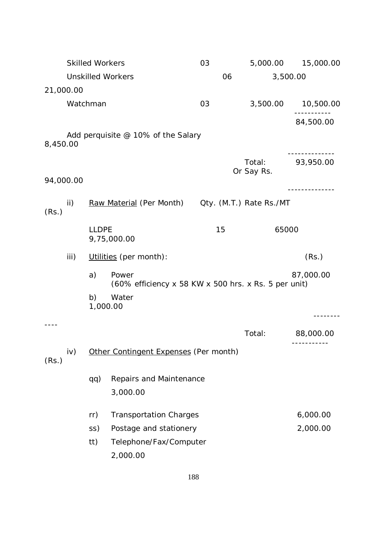|           | <b>Skilled Workers</b> |              |                                                      | 03 | 5,000.00   | 15,000.00 |  |
|-----------|------------------------|--------------|------------------------------------------------------|----|------------|-----------|--|
|           |                        |              | <b>Unskilled Workers</b>                             | 06 |            | 3,500.00  |  |
| 21,000.00 |                        |              |                                                      |    |            |           |  |
|           | Watchman               |              |                                                      | 03 | 3,500.00   | 10,500.00 |  |
|           |                        |              |                                                      |    |            | 84,500.00 |  |
|           |                        |              | Add perquisite @ 10% of the Salary                   |    |            |           |  |
| 8,450.00  |                        |              |                                                      |    |            |           |  |
|           |                        |              |                                                      |    | Total:     | 93,950.00 |  |
| 94,000.00 |                        |              |                                                      |    | Or Say Rs. |           |  |
|           |                        |              |                                                      |    |            |           |  |
| (Rs.)     | ii)                    |              | Raw Material (Per Month) Oty. (M.T.) Rate Rs./MT     |    |            |           |  |
|           |                        |              |                                                      |    |            |           |  |
|           |                        | <b>LLDPE</b> | 9,75,000.00                                          | 15 | 65000      |           |  |
|           | iii)                   |              | Utilities (per month):                               |    |            | (Rs.)     |  |
|           |                        | a)           | Power                                                |    |            | 87,000.00 |  |
|           |                        |              | (60% efficiency x 58 KW x 500 hrs. x Rs. 5 per unit) |    |            |           |  |
|           |                        | b)           | Water                                                |    |            |           |  |
|           |                        | 1,000.00     |                                                      |    |            |           |  |
|           |                        |              |                                                      |    | Total:     | 88,000.00 |  |
|           |                        |              |                                                      |    |            |           |  |
| (Rs.)     | iv)                    |              | Other Contingent Expenses (Per month)                |    |            |           |  |
|           |                        | qq)          | Repairs and Maintenance                              |    |            |           |  |
|           |                        |              | 3,000.00                                             |    |            |           |  |
|           |                        | rr)          | <b>Transportation Charges</b>                        |    |            | 6,000.00  |  |
|           |                        | SS)          | Postage and stationery                               |    |            | 2,000.00  |  |
|           |                        | tt)          | Telephone/Fax/Computer                               |    |            |           |  |
|           |                        |              | 2,000.00                                             |    |            |           |  |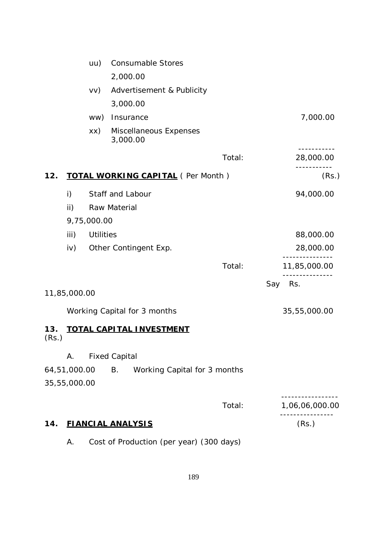|              |               | uu)              | <b>Consumable Stores</b>                  |        |                |
|--------------|---------------|------------------|-------------------------------------------|--------|----------------|
|              |               |                  | 2,000.00                                  |        |                |
|              |               | VV)              | Advertisement & Publicity                 |        |                |
|              |               |                  | 3,000.00                                  |        |                |
|              |               | ww)              | Insurance                                 |        | 7,000.00       |
|              |               | XX)              | Miscellaneous Expenses<br>3,000.00        |        |                |
|              |               |                  |                                           | Total: | 28,000.00      |
| 12.          |               |                  | <b>TOTAL WORKING CAPITAL</b> (Per Month)  |        | (Rs.)          |
|              | i)            |                  | Staff and Labour                          |        | 94,000.00      |
|              | $\mathsf{ii}$ |                  | Raw Material                              |        |                |
|              |               | 9,75,000.00      |                                           |        |                |
|              | iii)          | <b>Utilities</b> |                                           |        | 88,000.00      |
|              | iv)           |                  | Other Contingent Exp.                     |        | 28,000.00      |
|              |               |                  |                                           | Total: | 11,85,000.00   |
|              |               |                  |                                           |        | Say<br>Rs.     |
|              | 11,85,000.00  |                  |                                           |        |                |
|              |               |                  | Working Capital for 3 months              |        | 35,55,000.00   |
| 13.<br>(Rs.) |               |                  | <b>TOTAL CAPITAL INVESTMENT</b>           |        |                |
|              | Α.            |                  | <b>Fixed Capital</b>                      |        |                |
|              | 64,51,000.00  |                  | <b>B.</b><br>Working Capital for 3 months |        |                |
|              | 35,55,000.00  |                  |                                           |        |                |
|              |               |                  |                                           | Total: | 1,06,06,000.00 |
| 14.          |               |                  | <b>FIANCIAL ANALYSIS</b>                  |        | (Rs.)          |
|              | Α.            |                  | Cost of Production (per year) (300 days)  |        |                |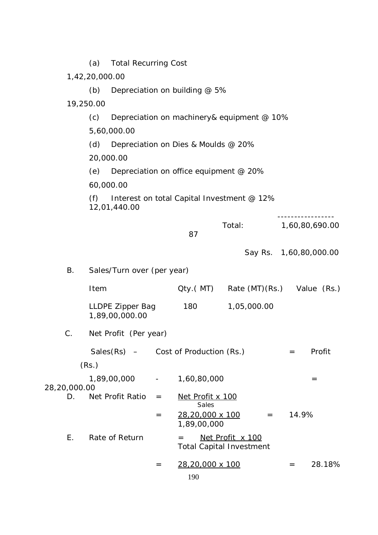|                    | <b>Total Recurring Cost</b><br>(a)                                |                                                   |                                        |                                                     |         |       |                        |  |  |  |  |  |
|--------------------|-------------------------------------------------------------------|---------------------------------------------------|----------------------------------------|-----------------------------------------------------|---------|-------|------------------------|--|--|--|--|--|
|                    | 1,42,20,000.00                                                    |                                                   |                                        |                                                     |         |       |                        |  |  |  |  |  |
|                    | (b)                                                               |                                                   | Depreciation on building @ 5%          |                                                     |         |       |                        |  |  |  |  |  |
|                    | 19,250.00                                                         |                                                   |                                        |                                                     |         |       |                        |  |  |  |  |  |
|                    | (c)                                                               | Depreciation on machinery& equipment @ 10%        |                                        |                                                     |         |       |                        |  |  |  |  |  |
|                    | 5,60,000.00                                                       |                                                   |                                        |                                                     |         |       |                        |  |  |  |  |  |
|                    | (d)                                                               | Depreciation on Dies & Moulds @ 20%               |                                        |                                                     |         |       |                        |  |  |  |  |  |
|                    | 20,000.00                                                         |                                                   |                                        |                                                     |         |       |                        |  |  |  |  |  |
|                    | (e)                                                               |                                                   | Depreciation on office equipment @ 20% |                                                     |         |       |                        |  |  |  |  |  |
|                    | 60,000.00                                                         |                                                   |                                        |                                                     |         |       |                        |  |  |  |  |  |
|                    | Interest on total Capital Investment @ 12%<br>(f)<br>12,01,440.00 |                                                   |                                        |                                                     |         |       |                        |  |  |  |  |  |
|                    |                                                                   |                                                   | 87                                     | Total:                                              |         |       | 1,60,80,690.00         |  |  |  |  |  |
|                    |                                                                   |                                                   |                                        |                                                     |         |       | Say Rs. 1,60,80,000.00 |  |  |  |  |  |
| Β.                 | Sales/Turn over (per year)                                        |                                                   |                                        |                                                     |         |       |                        |  |  |  |  |  |
|                    | Item                                                              |                                                   |                                        | Qty.(MT) Rate (MT) (Rs.) Value (Rs.)                |         |       |                        |  |  |  |  |  |
|                    | LLDPE Zipper Bag<br>1,89,00,000.00                                |                                                   | 180                                    | 1,05,000.00                                         |         |       |                        |  |  |  |  |  |
| C.                 | Net Profit (Per year)                                             |                                                   |                                        |                                                     |         |       |                        |  |  |  |  |  |
|                    | $Sales(Rs)$ – Cost of Production (Rs.)                            |                                                   |                                        |                                                     | $=$     |       | Profit                 |  |  |  |  |  |
|                    | (Rs.)                                                             |                                                   |                                        |                                                     |         |       |                        |  |  |  |  |  |
|                    | 1,89,00,000                                                       | $\frac{1}{2}$ and $\frac{1}{2}$ and $\frac{1}{2}$ | 1,60,80,000                            |                                                     |         |       | $=$                    |  |  |  |  |  |
| 28,20,000.00<br>D. | Net Profit Ratio                                                  | $=$                                               | Net Profit x 100<br>Sales              |                                                     |         |       |                        |  |  |  |  |  |
|                    |                                                                   | $=$                                               | 28,20,000 x 100<br>1,89,00,000         |                                                     | $=$ $-$ | 14.9% |                        |  |  |  |  |  |
| Е.                 | Rate of Return                                                    |                                                   | $=$                                    | Net Profit x 100<br><b>Total Capital Investment</b> |         |       |                        |  |  |  |  |  |
|                    |                                                                   | $=$                                               | 28,20,000 x 100<br>190                 |                                                     | $=$     |       | 28.18%                 |  |  |  |  |  |